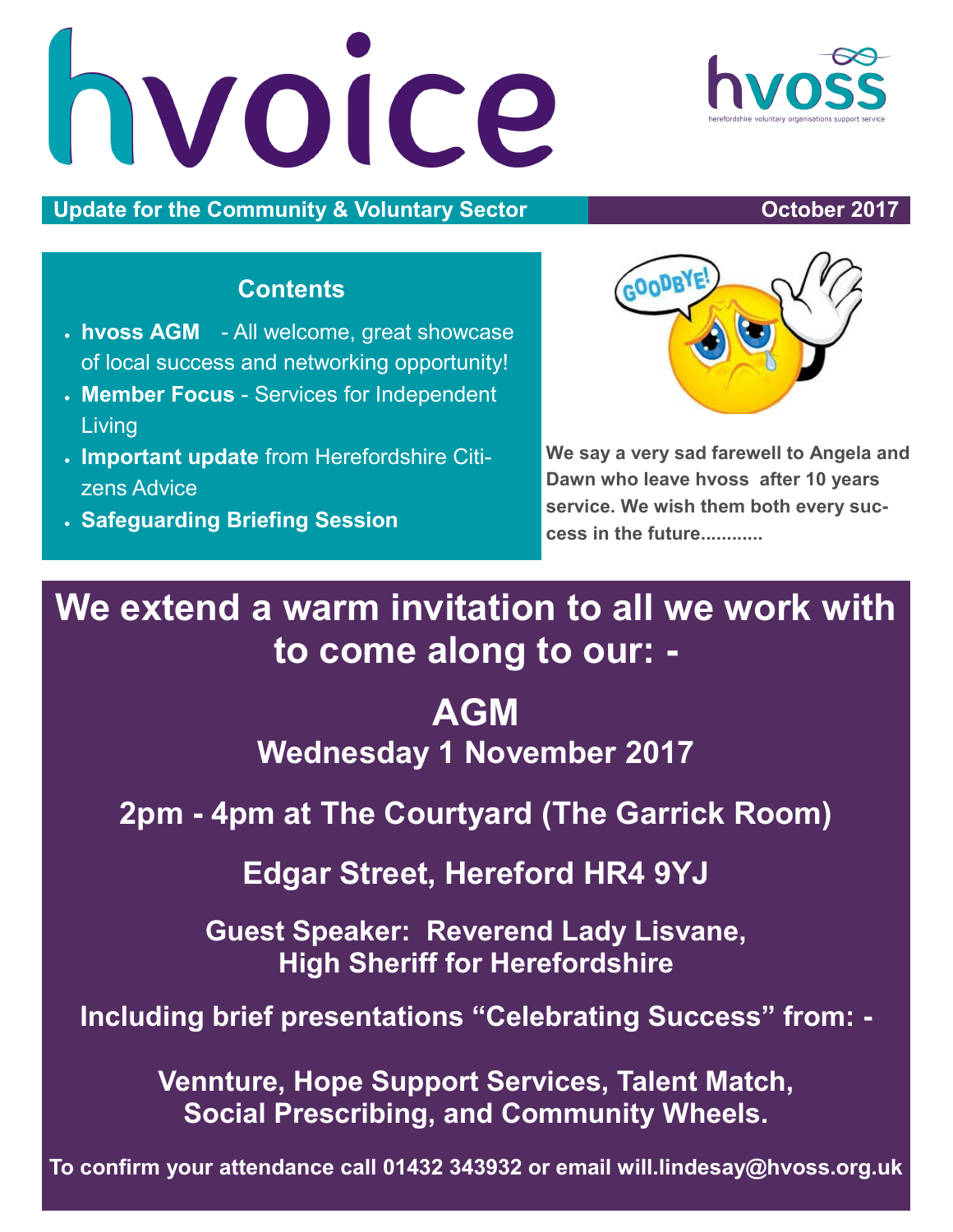hvoice

**Update for the Community & Voluntary Sector Community & Voluntary Sector Community 8 and Section 2017** 

### **Contents**

- **hvoss AGM** All welcome, great showcase of local success and networking opportunity!
- **Member Focus**  Services for Independent Living
- **Important update** from Herefordshire Citizens Advice
- **Safeguarding Briefing Session**

**We say a very sad farewell to Angela and Dawn who leave hvoss after 10 years service. We wish them both every success in the future............**

**We extend a warm invitation to all we work with to come along to our: -**

# **AGM Wednesday 1 November 2017**

**2pm - 4pm at The Courtyard (The Garrick Room)** 

**Edgar Street, Hereford HR4 9YJ**

**Guest Speaker: Reverend Lady Lisvane, High Sheriff for Herefordshire**

**Including brief presentations "Celebrating Success" from: -**

**Vennture, Hope Support Services, Talent Match, Social Prescribing, and Community Wheels.**

**To confirm your attendance call 01432 343932 or email will.lindesay@hvoss.org.uk** 



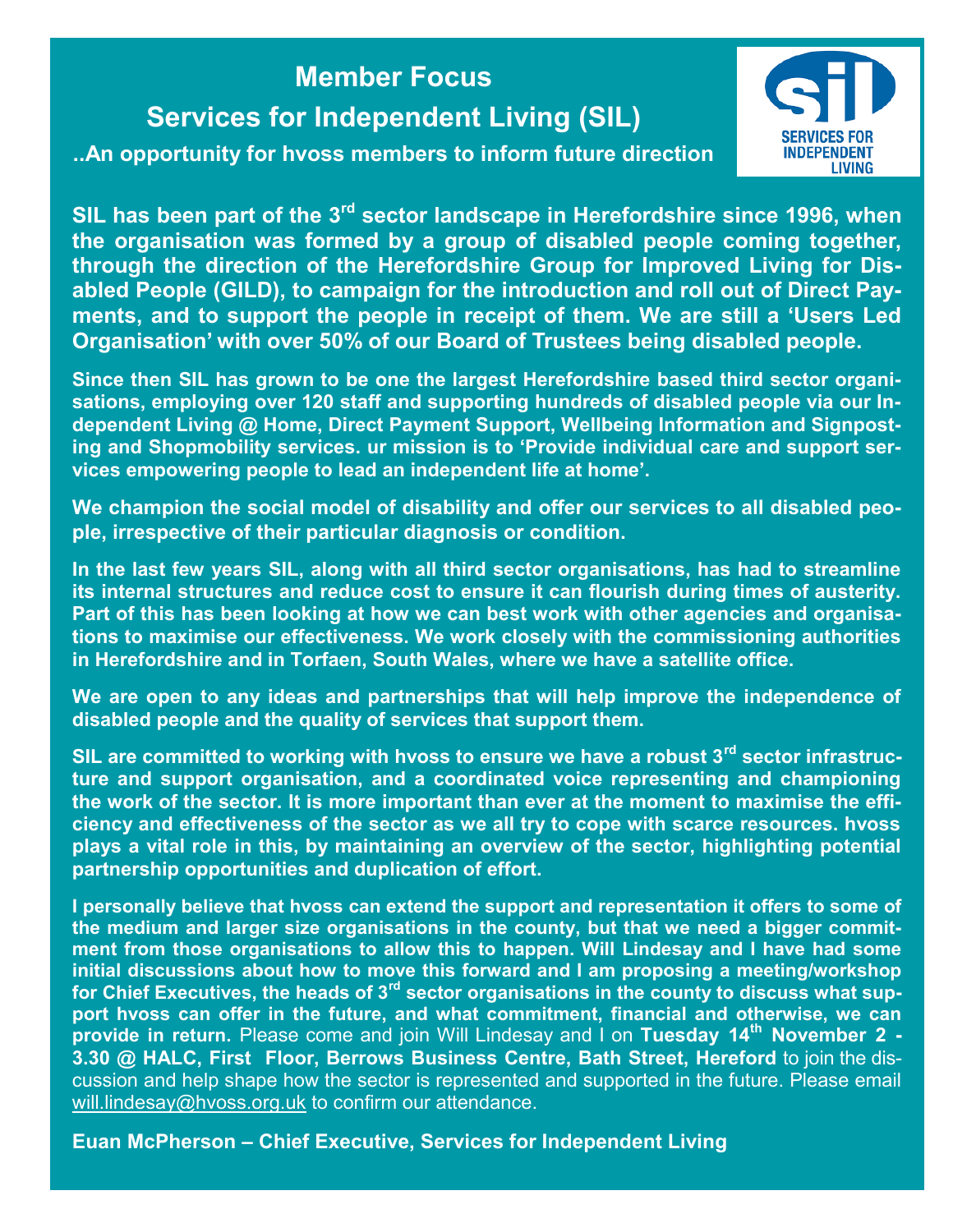# **Member Focus Services for Independent Living (SIL)**

**..An opportunity for hvoss members to inform future direction**



**SIL has been part of the 3rd sector landscape in Herefordshire since 1996, when the organisation was formed by a group of disabled people coming together, through the direction of the Herefordshire Group for Improved Living for Disabled People (GILD), to campaign for the introduction and roll out of Direct Payments, and to support the people in receipt of them. We are still a 'Users Led Organisation' with over 50% of our Board of Trustees being disabled people.**

**Since then SIL has grown to be one the largest Herefordshire based third sector organisations, employing over 120 staff and supporting hundreds of disabled people via our Independent Living @ Home, Direct Payment Support, Wellbeing Information and Signposting and Shopmobility services. ur mission is to 'Provide individual care and support services empowering people to lead an independent life at home'.** 

**We champion the social model of disability and offer our services to all disabled people, irrespective of their particular diagnosis or condition.**

**In the last few years SIL, along with all third sector organisations, has had to streamline its internal structures and reduce cost to ensure it can flourish during times of austerity. Part of this has been looking at how we can best work with other agencies and organisations to maximise our effectiveness. We work closely with the commissioning authorities in Herefordshire and in Torfaen, South Wales, where we have a satellite office.**

**We are open to any ideas and partnerships that will help improve the independence of disabled people and the quality of services that support them.**

**SIL are committed to working with hvoss to ensure we have a robust 3rd sector infrastructure and support organisation, and a coordinated voice representing and championing the work of the sector. It is more important than ever at the moment to maximise the efficiency and effectiveness of the sector as we all try to cope with scarce resources. hvoss plays a vital role in this, by maintaining an overview of the sector, highlighting potential partnership opportunities and duplication of effort.**

**I personally believe that hvoss can extend the support and representation it offers to some of the medium and larger size organisations in the county, but that we need a bigger commitment from those organisations to allow this to happen. Will Lindesay and I have had some initial discussions about how to move this forward and I am proposing a meeting/workshop for Chief Executives, the heads of 3rd sector organisations in the county to discuss what support hvoss can offer in the future, and what commitment, financial and otherwise, we can provide in return.** Please come and join Will Lindesay and I on **Tuesday 14th November 2 - 3.30 @ HALC, First Floor, Berrows Business Centre, Bath Street, Hereford** to join the discussion and help shape how the sector is represented and supported in the future. Please email [will.lindesay@hvoss.org.uk](mailto:will.lindesay@hvoss.org.uk) to confirm our attendance.

**Euan McPherson – Chief Executive, Services for Independent Living**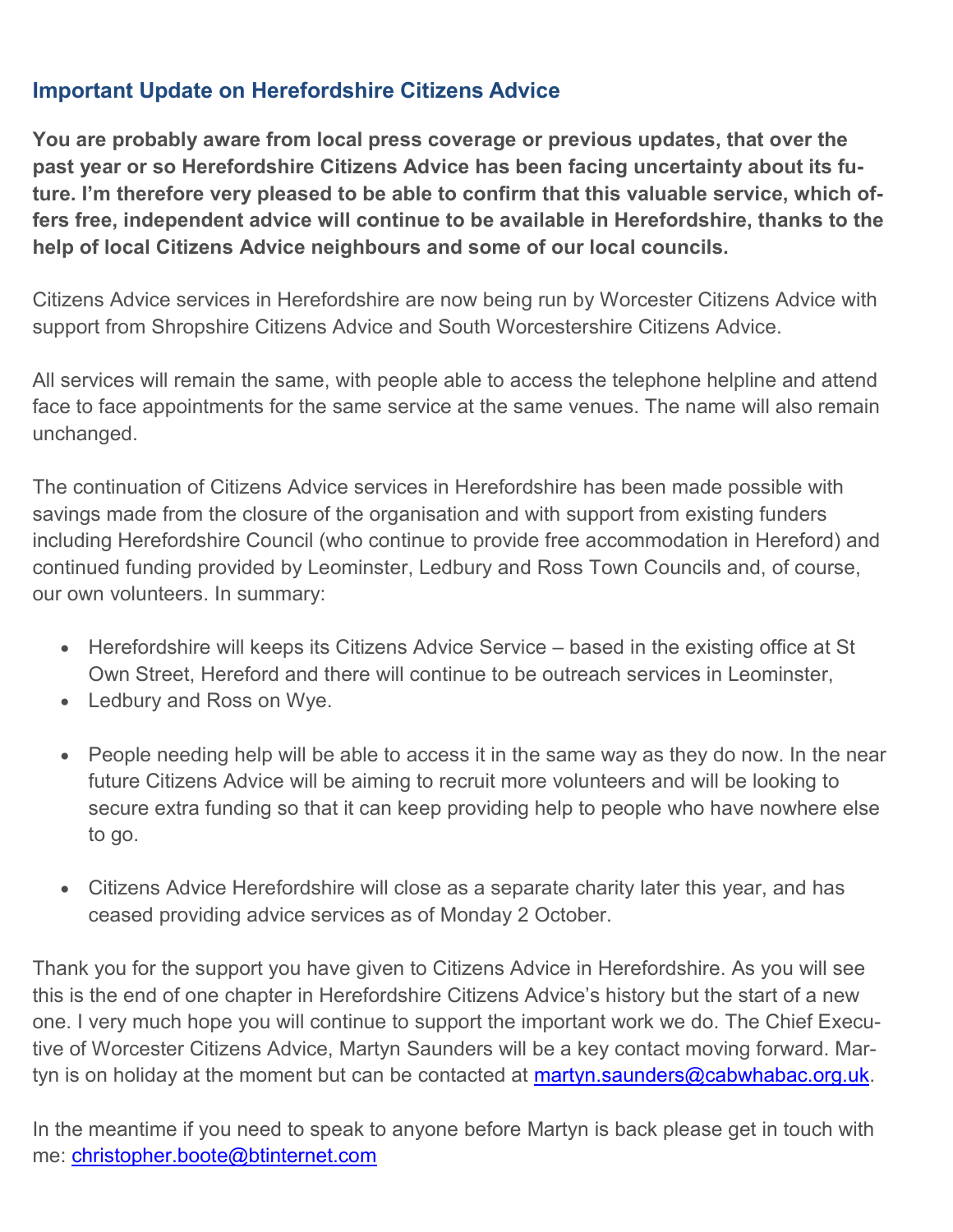#### **Important Update on Herefordshire Citizens Advice**

**You are probably aware from local press coverage or previous updates, that over the past year or so Herefordshire Citizens Advice has been facing uncertainty about its future. I'm therefore very pleased to be able to confirm that this valuable service, which offers free, independent advice will continue to be available in Herefordshire, thanks to the help of local Citizens Advice neighbours and some of our local councils.** 

Citizens Advice services in Herefordshire are now being run by Worcester Citizens Advice with support from Shropshire Citizens Advice and South Worcestershire Citizens Advice.

All services will remain the same, with people able to access the telephone helpline and attend face to face appointments for the same service at the same venues. The name will also remain unchanged.

The continuation of Citizens Advice services in Herefordshire has been made possible with savings made from the closure of the organisation and with support from existing funders including Herefordshire Council (who continue to provide free accommodation in Hereford) and continued funding provided by Leominster, Ledbury and Ross Town Councils and, of course, our own volunteers. In summary:

- Herefordshire will keeps its Citizens Advice Service based in the existing office at St Own Street, Hereford and there will continue to be outreach services in Leominster,
- Ledbury and Ross on Wye.
- People needing help will be able to access it in the same way as they do now. In the near future Citizens Advice will be aiming to recruit more volunteers and will be looking to secure extra funding so that it can keep providing help to people who have nowhere else to go.
- Citizens Advice Herefordshire will close as a separate charity later this year, and has ceased providing advice services as of Monday 2 October.

Thank you for the support you have given to Citizens Advice in Herefordshire. As you will see this is the end of one chapter in Herefordshire Citizens Advice's history but the start of a new one. I very much hope you will continue to support the important work we do. The Chief Executive of Worcester Citizens Advice, Martyn Saunders will be a key contact moving forward. Martyn is on holiday at the moment but can be contacted at [martyn.saunders@cabwhabac.org.uk.](mailto:martyn.saunders@cabwhabac.org.uk)

In the meantime if you need to speak to anyone before Martyn is back please get in touch with me: [christopher.boote@btinternet.com](mailto:christopher.boote@btinternet.com)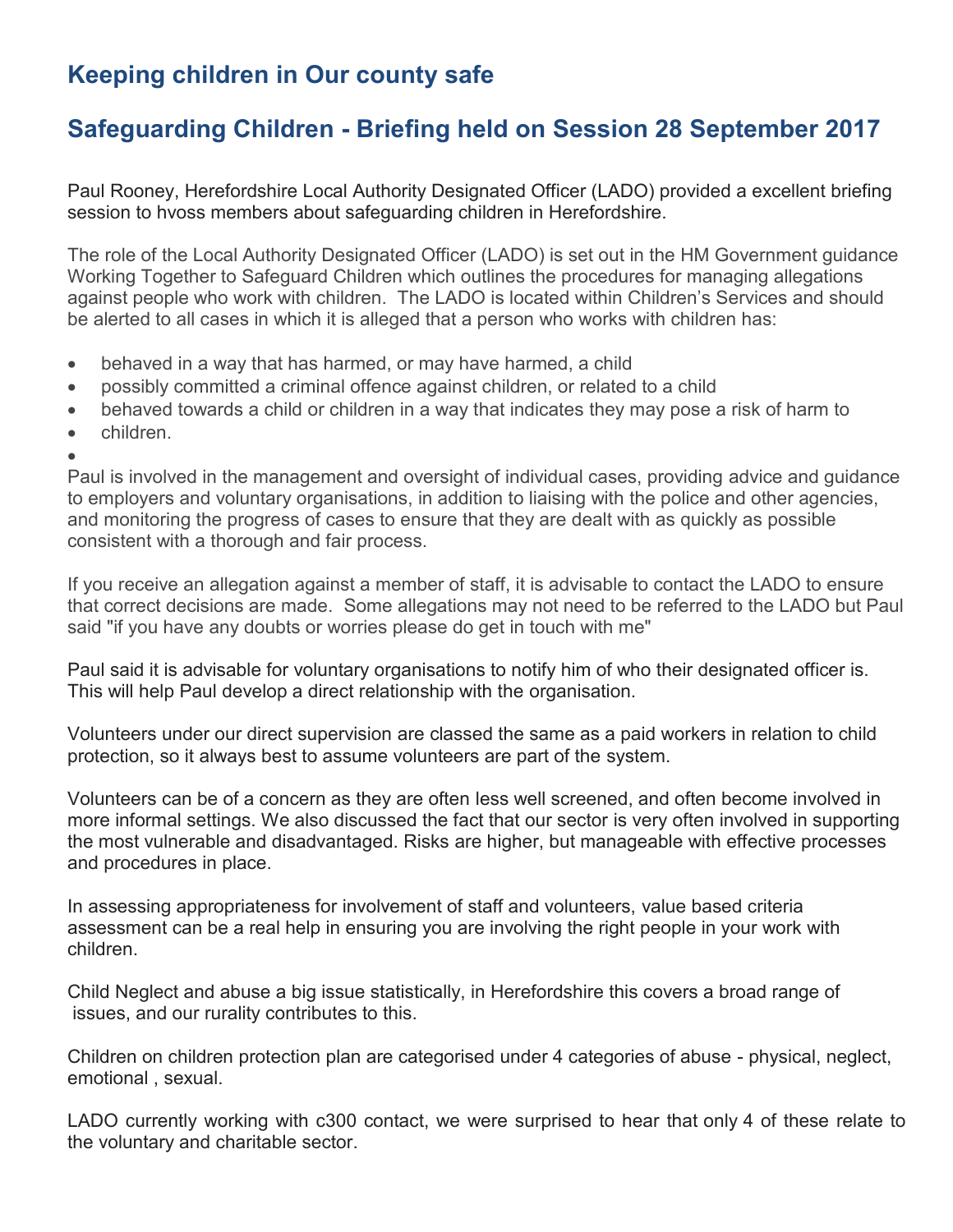## **Keeping children in Our county safe**

## **Safeguarding Children - Briefing held on Session 28 September 2017**

Paul Rooney, Herefordshire Local Authority Designated Officer (LADO) provided a excellent briefing session to hvoss members about safeguarding children in Herefordshire.

The role of the Local Authority Designated Officer (LADO) is set out in the HM Government guidance Working Together to Safeguard Children which outlines the procedures for managing allegations against people who work with children. The LADO is located within Children's Services and should be alerted to all cases in which it is alleged that a person who works with children has:

- behaved in a way that has harmed, or may have harmed, a child
- possibly committed a criminal offence against children, or related to a child
- behaved towards a child or children in a way that indicates they may pose a risk of harm to
- children.

 $\bullet$ Paul is involved in the management and oversight of individual cases, providing advice and guidance to employers and voluntary organisations, in addition to liaising with the police and other agencies, and monitoring the progress of cases to ensure that they are dealt with as quickly as possible consistent with a thorough and fair process.

If you receive an allegation against a member of staff, it is advisable to contact the LADO to ensure that correct decisions are made. Some allegations may not need to be referred to the LADO but Paul said "if you have any doubts or worries please do get in touch with me"

Paul said it is advisable for voluntary organisations to notify him of who their designated officer is. This will help Paul develop a direct relationship with the organisation.

Volunteers under our direct supervision are classed the same as a paid workers in relation to child protection, so it always best to assume volunteers are part of the system.

Volunteers can be of a concern as they are often less well screened, and often become involved in more informal settings. We also discussed the fact that our sector is very often involved in supporting the most vulnerable and disadvantaged. Risks are higher, but manageable with effective processes and procedures in place.

In assessing appropriateness for involvement of staff and volunteers, value based criteria assessment can be a real help in ensuring you are involving the right people in your work with children.

Child Neglect and abuse a big issue statistically, in Herefordshire this covers a broad range of issues, and our rurality contributes to this.

Children on children protection plan are categorised under 4 categories of abuse - physical, neglect, emotional , sexual.

LADO currently working with c300 contact, we were surprised to hear that only 4 of these relate to the voluntary and charitable sector.